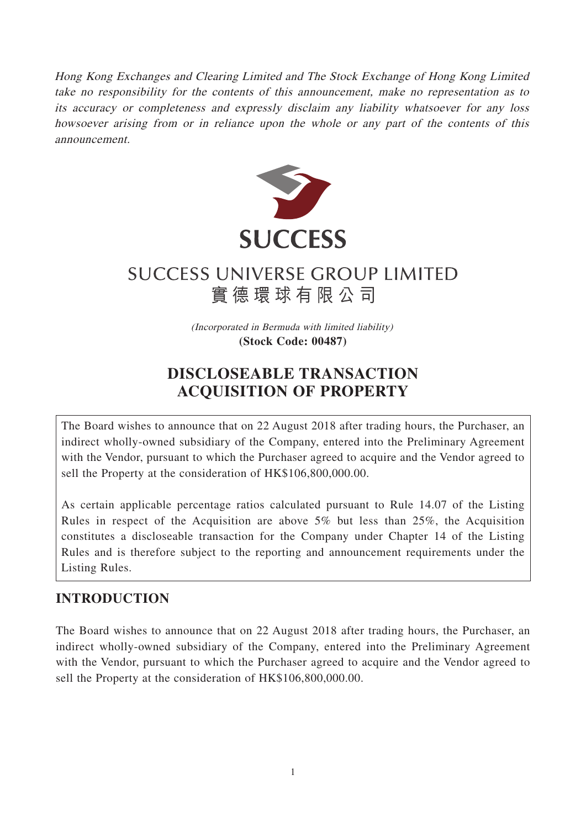Hong Kong Exchanges and Clearing Limited and The Stock Exchange of Hong Kong Limited take no responsibility for the contents of this announcement, make no representation as to its accuracy or completeness and expressly disclaim any liability whatsoever for any loss howsoever arising from or in reliance upon the whole or any part of the contents of this announcement.



# **SUCCESS UNIVERSE GROUP LIMITED** 實德環球有限公司

(Incorporated in Bermuda with limited liability) **(Stock Code: 00487)**

## **DISCLOSEABLE TRANSACTION ACQUISITION OF PROPERTY**

The Board wishes to announce that on 22 August 2018 after trading hours, the Purchaser, an indirect wholly-owned subsidiary of the Company, entered into the Preliminary Agreement with the Vendor, pursuant to which the Purchaser agreed to acquire and the Vendor agreed to sell the Property at the consideration of HK\$106,800,000.00.

As certain applicable percentage ratios calculated pursuant to Rule 14.07 of the Listing Rules in respect of the Acquisition are above 5% but less than 25%, the Acquisition constitutes a discloseable transaction for the Company under Chapter 14 of the Listing Rules and is therefore subject to the reporting and announcement requirements under the Listing Rules.

### **INTRODUCTION**

The Board wishes to announce that on 22 August 2018 after trading hours, the Purchaser, an indirect wholly-owned subsidiary of the Company, entered into the Preliminary Agreement with the Vendor, pursuant to which the Purchaser agreed to acquire and the Vendor agreed to sell the Property at the consideration of HK\$106,800,000.00.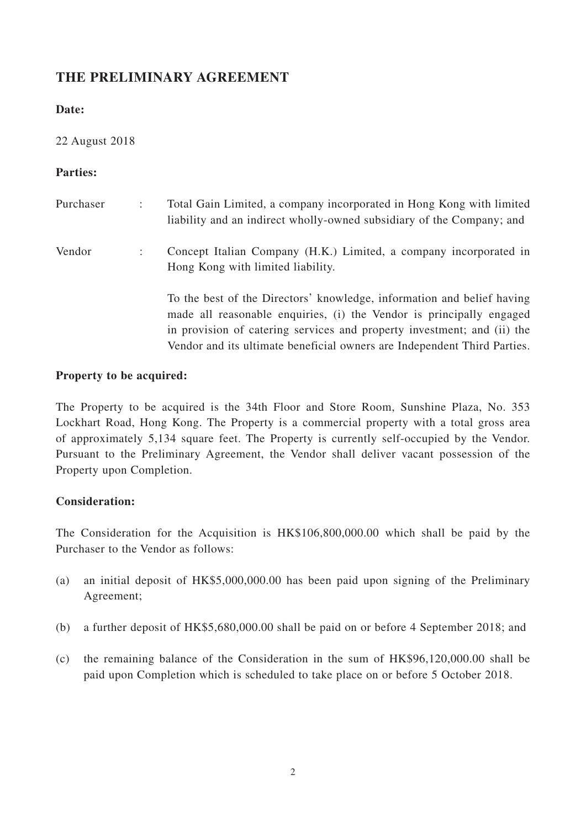### **THE PRELIMINARY AGREEMENT**

#### **Date:**

#### 22 August 2018

#### **Parties:**

| Purchaser | Total Gain Limited, a company incorporated in Hong Kong with limited<br>liability and an indirect wholly-owned subsidiary of the Company; and                                                                                                                                                         |
|-----------|-------------------------------------------------------------------------------------------------------------------------------------------------------------------------------------------------------------------------------------------------------------------------------------------------------|
| Vendor    | Concept Italian Company (H.K.) Limited, a company incorporated in<br>Hong Kong with limited liability.                                                                                                                                                                                                |
|           | To the best of the Directors' knowledge, information and belief having<br>made all reasonable enquiries, (i) the Vendor is principally engaged<br>in provision of catering services and property investment; and (ii) the<br>Vendor and its ultimate beneficial owners are Independent Third Parties. |

#### **Property to be acquired:**

The Property to be acquired is the 34th Floor and Store Room, Sunshine Plaza, No. 353 Lockhart Road, Hong Kong. The Property is a commercial property with a total gross area of approximately 5,134 square feet. The Property is currently self-occupied by the Vendor. Pursuant to the Preliminary Agreement, the Vendor shall deliver vacant possession of the Property upon Completion.

#### **Consideration:**

The Consideration for the Acquisition is HK\$106,800,000.00 which shall be paid by the Purchaser to the Vendor as follows:

- (a) an initial deposit of HK\$5,000,000.00 has been paid upon signing of the Preliminary Agreement;
- (b) a further deposit of HK\$5,680,000.00 shall be paid on or before 4 September 2018; and
- (c) the remaining balance of the Consideration in the sum of HK\$96,120,000.00 shall be paid upon Completion which is scheduled to take place on or before 5 October 2018.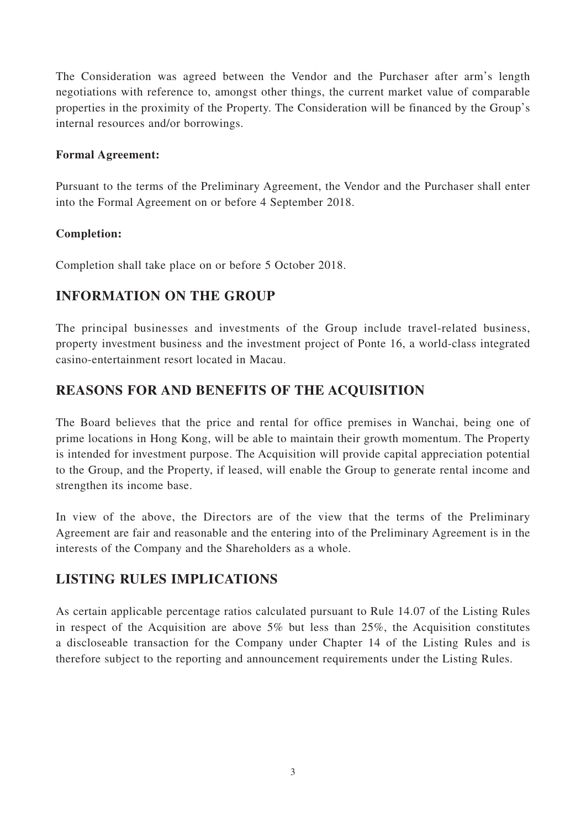The Consideration was agreed between the Vendor and the Purchaser after arm's length negotiations with reference to, amongst other things, the current market value of comparable properties in the proximity of the Property. The Consideration will be financed by the Group's internal resources and/or borrowings.

#### **Formal Agreement:**

Pursuant to the terms of the Preliminary Agreement, the Vendor and the Purchaser shall enter into the Formal Agreement on or before 4 September 2018.

#### **Completion:**

Completion shall take place on or before 5 October 2018.

### **INFORMATION ON THE GROUP**

The principal businesses and investments of the Group include travel-related business, property investment business and the investment project of Ponte 16, a world-class integrated casino-entertainment resort located in Macau.

### **REASONS FOR AND BENEFITS OF THE ACQUISITION**

The Board believes that the price and rental for office premises in Wanchai, being one of prime locations in Hong Kong, will be able to maintain their growth momentum. The Property is intended for investment purpose. The Acquisition will provide capital appreciation potential to the Group, and the Property, if leased, will enable the Group to generate rental income and strengthen its income base.

In view of the above, the Directors are of the view that the terms of the Preliminary Agreement are fair and reasonable and the entering into of the Preliminary Agreement is in the interests of the Company and the Shareholders as a whole.

### **LISTING RULES IMPLICATIONS**

As certain applicable percentage ratios calculated pursuant to Rule 14.07 of the Listing Rules in respect of the Acquisition are above 5% but less than 25%, the Acquisition constitutes a discloseable transaction for the Company under Chapter 14 of the Listing Rules and is therefore subject to the reporting and announcement requirements under the Listing Rules.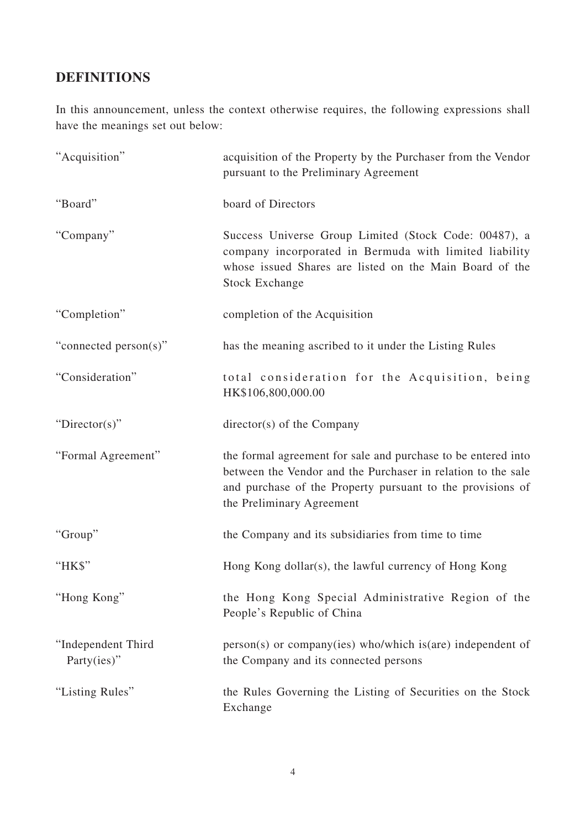### **DEFINITIONS**

In this announcement, unless the context otherwise requires, the following expressions shall have the meanings set out below:

| "Acquisition"                     | acquisition of the Property by the Purchaser from the Vendor<br>pursuant to the Preliminary Agreement                                                                                                                    |
|-----------------------------------|--------------------------------------------------------------------------------------------------------------------------------------------------------------------------------------------------------------------------|
| "Board"                           | board of Directors                                                                                                                                                                                                       |
| "Company"                         | Success Universe Group Limited (Stock Code: 00487), a<br>company incorporated in Bermuda with limited liability<br>whose issued Shares are listed on the Main Board of the<br><b>Stock Exchange</b>                      |
| "Completion"                      | completion of the Acquisition                                                                                                                                                                                            |
| "connected person(s)"             | has the meaning ascribed to it under the Listing Rules                                                                                                                                                                   |
| "Consideration"                   | total consideration for the Acquisition, being<br>HK\$106,800,000.00                                                                                                                                                     |
| "Director(s)"                     | director(s) of the Company                                                                                                                                                                                               |
| "Formal Agreement"                | the formal agreement for sale and purchase to be entered into<br>between the Vendor and the Purchaser in relation to the sale<br>and purchase of the Property pursuant to the provisions of<br>the Preliminary Agreement |
| "Group"                           | the Company and its subsidiaries from time to time                                                                                                                                                                       |
| "HK\$"                            | Hong Kong dollar(s), the lawful currency of Hong Kong                                                                                                                                                                    |
| "Hong Kong"                       | the Hong Kong Special Administrative Region of the<br>People's Republic of China                                                                                                                                         |
| "Independent Third<br>Party(ies)" | $person(s)$ or company(ies) who/which is(are) independent of<br>the Company and its connected persons                                                                                                                    |
| "Listing Rules"                   | the Rules Governing the Listing of Securities on the Stock<br>Exchange                                                                                                                                                   |